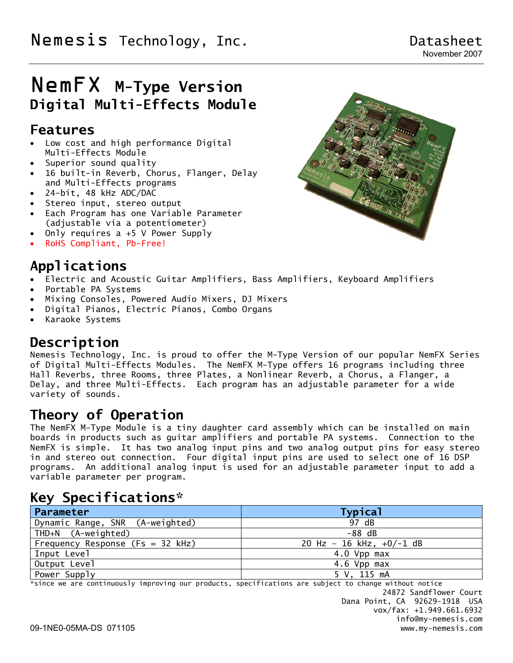# Nemesis Technology, Inc. The contract of the Datasheet

# NemFX **M-Type Version Digital Multi-Effects Module**

### **Features**

- Low cost and high performance Digital Multi-Effects Module
- Superior sound quality
- 16 built-in Reverb, Chorus, Flanger, Delay and Multi-Effects programs
- 24-bit, 48 kHz ADC/DAC
- Stereo input, stereo output
- Each Program has one Variable Parameter (adjustable via a potentiometer)
- Only requires a +5 V Power Supply
- RoHS Compliant, Pb-Free!

# **Applications**

- Electric and Acoustic Guitar Amplifiers, Bass Amplifiers, Keyboard Amplifiers
- Portable PA Systems
- Mixing Consoles, Powered Audio Mixers, DJ Mixers
- Digital Pianos, Electric Pianos, Combo Organs
- Karaoke Systems

### **Description**

Nemesis Technology, Inc. is proud to offer the M-Type Version of our popular NemFX Series of Digital Multi-Effects Modules. The NemFX M-Type offers 16 programs including three Hall Reverbs, three Rooms, three Plates, a Nonlinear Reverb, a Chorus, a Flanger, a Delay, and three Multi-Effects. Each program has an adjustable parameter for a wide variety of sounds.

### **Theory of Operation**

The NemFX M-Type Module is a tiny daughter card assembly which can be installed on main boards in products such as guitar amplifiers and portable PA systems. Connection to the NemFX is simple. It has two analog input pins and two analog output pins for easy stereo in and stereo out connection. Four digital input pins are used to select one of 16 DSP programs. An additional analog input is used for an adjustable parameter input to add a variable parameter per program.

### **Key Specifications\***

| Parameter                          | <b>Typical</b>             |
|------------------------------------|----------------------------|
| Dynamic Range, SNR (A-weighted)    | 97 dB                      |
| THD+N (A-weighted)                 | $-88$ dB                   |
| Frequency Response (Fs = $32$ kHz) | 20 Hz - 16 kHz, $+0/-1$ dB |
| Input Level                        | 4.0 Vpp max                |
| Output Level                       | 4.6 Vpp max                |
| Power Supply                       | 5 V, 115 mA                |

\*since we are continuously improving our products, specifications are subject to change without notice

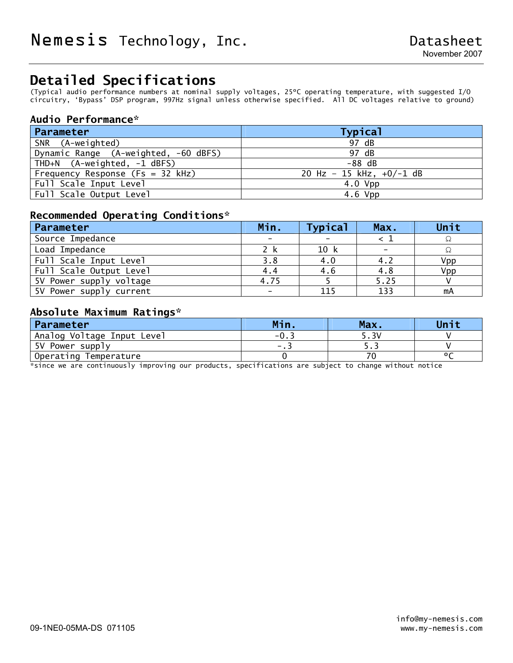## **Detailed Specifications**

(Typical audio performance numbers at nominal supply voltages, 25ºC operating temperature, with suggested I/O circuitry, 'Bypass' DSP program, 997Hz signal unless otherwise specified. All DC voltages relative to ground)

#### **Audio Performance\***

| Parameter                            | <b>Typical</b>             |
|--------------------------------------|----------------------------|
| SNR (A-weighted)                     | 97 dB                      |
| Dynamic Range (A-weighted, -60 dBFS) | 97 dB                      |
| THD+N (A-weighted, -1 dBFS)          | $-88$ dB                   |
| Frequency Response (Fs = 32 kHz)     | 20 Hz - 15 kHz, $+0/-1$ dB |
| Full Scale Input Level               | $4.0$ Vpp                  |
| Full Scale Output Level              | $4.6$ Vpp                  |

#### **Recommended Operating Conditions\***

| Parameter               | Min. | <b>Typical</b> | Max.                     | Unit |
|-------------------------|------|----------------|--------------------------|------|
| Source Impedance        |      |                |                          |      |
| Load Impedance          | 2 k  | 10 k           | $\overline{\phantom{0}}$ |      |
| Full Scale Input Level  | 3.8  | 4.0            | 4.2                      | Vpp  |
| Full Scale Output Level | 4.4  | 4.6            | 4.8                      | Vpp  |
| 5V Power supply voltage | 4.75 |                | 5.25                     |      |
| 5V Power supply current |      | 115            | 133                      | mA   |

#### **Absolute Maximum Ratings\***

| Parameter                  | Min              | Max.  | Unit |
|----------------------------|------------------|-------|------|
| Analog Voltage Input Level | $-0.5$           | 3۷. د |      |
| 5V Power supply            | . . <del>.</del> | ر . ر |      |
| Operating Temperature      |                  |       |      |

\*since we are continuously improving our products, specifications are subject to change without notice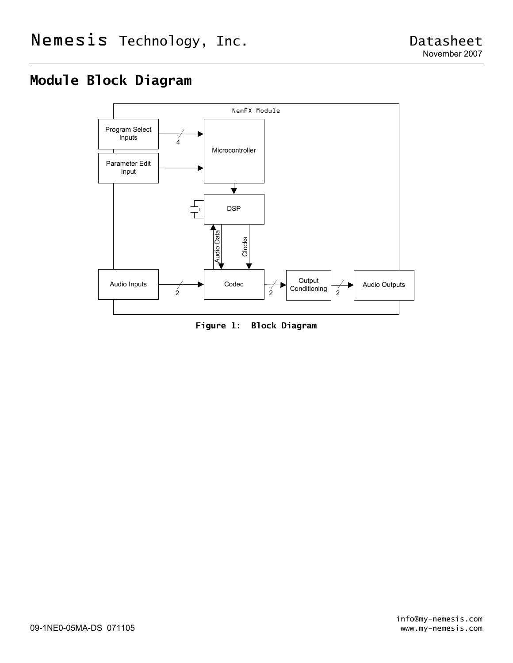# **Module Block Diagram**



**Figure 1: Block Diagram**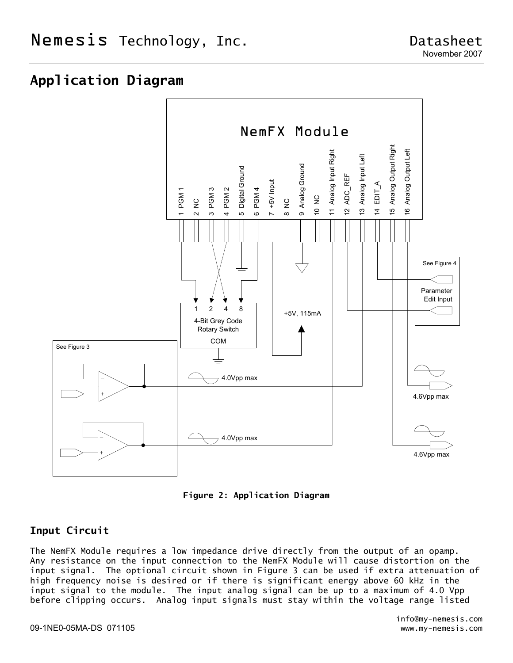### **Application Diagram**





#### **Input Circuit**

The NemFX Module requires a low impedance drive directly from the output of an opamp. Any resistance on the input connection to the NemFX Module will cause distortion on the input signal. The optional circuit shown in Figure 3 can be used if extra attenuation of high frequency noise is desired or if there is significant energy above 60 kHz in the input signal to the module. The input analog signal can be up to a maximum of 4.0 Vpp before clipping occurs. Analog input signals must stay within the voltage range listed

#### 09-1NE0-05MA-DS 071105 www.my-nemesis.com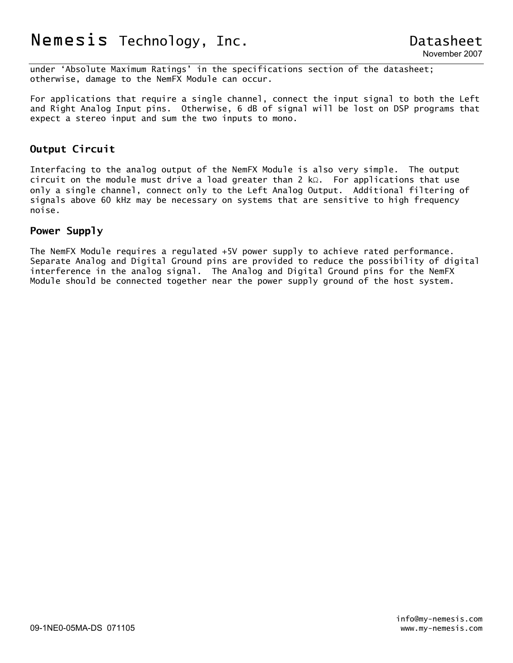under 'Absolute Maximum Ratings' in the specifications section of the datasheet; otherwise, damage to the NemFX Module can occur.

For applications that require a single channel, connect the input signal to both the Left and Right Analog Input pins. Otherwise, 6 dB of signal will be lost on DSP programs that expect a stereo input and sum the two inputs to mono.

#### **Output Circuit**

Interfacing to the analog output of the NemFX Module is also very simple. The output circuit on the module must drive a load greater than 2 kΩ. For applications that use only a single channel, connect only to the Left Analog Output. Additional filtering of signals above 60 kHz may be necessary on systems that are sensitive to high frequency noise.

#### **Power Supply**

The NemFX Module requires a regulated +5V power supply to achieve rated performance. Separate Analog and Digital Ground pins are provided to reduce the possibility of digital interference in the analog signal. The Analog and Digital Ground pins for the NemFX Module should be connected together near the power supply ground of the host system.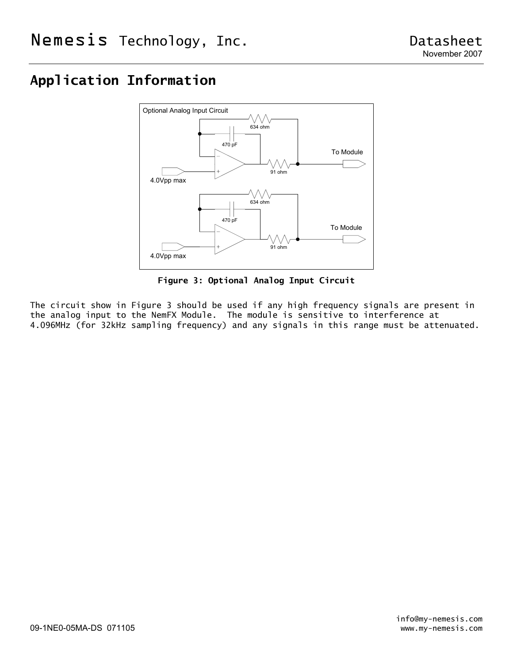# **Application Information**



**Figure 3: Optional Analog Input Circuit** 

The circuit show in Figure 3 should be used if any high frequency signals are present in the analog input to the NemFX Module. The module is sensitive to interference at 4.096MHz (for 32kHz sampling frequency) and any signals in this range must be attenuated.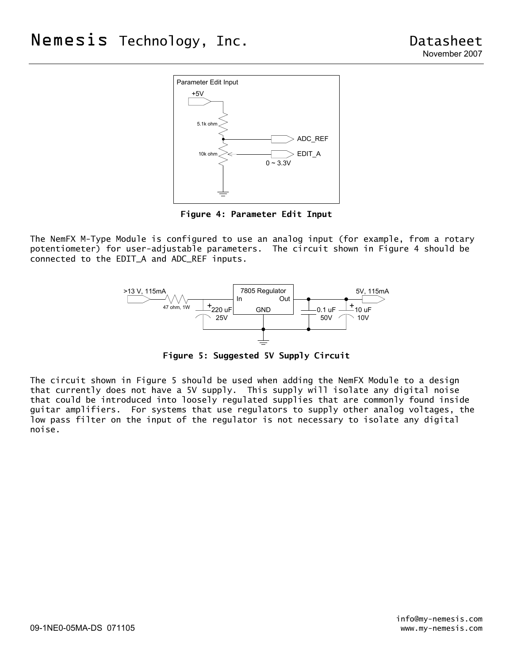

**Figure 4: Parameter Edit Input** 

The NemFX M-Type Module is configured to use an analog input (for example, from a rotary potentiometer) for user-adjustable parameters. The circuit shown in Figure 4 should be connected to the EDIT\_A and ADC\_REF inputs.



**Figure 5: Suggested 5V Supply Circuit** 

The circuit shown in Figure 5 should be used when adding the NemFX Module to a design that currently does not have a 5V supply. This supply will isolate any digital noise that could be introduced into loosely regulated supplies that are commonly found inside guitar amplifiers. For systems that use regulators to supply other analog voltages, the low pass filter on the input of the regulator is not necessary to isolate any digital noise.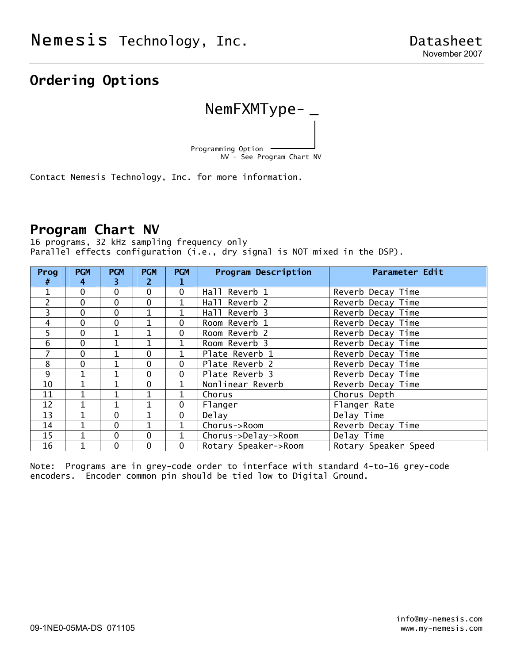# **Ordering Options**



Contact Nemesis Technology, Inc. for more information.

### **Program Chart NV**

16 programs, 32 kHz sampling frequency only Parallel effects configuration (i.e., dry signal is NOT mixed in the DSP).

| Prog<br>#      | <b>PGM</b><br>4 | <b>PGM</b><br>3 | <b>PGM</b><br>2 | <b>PGM</b>   | <b>Program Description</b> | <b>Parameter Edit</b> |
|----------------|-----------------|-----------------|-----------------|--------------|----------------------------|-----------------------|
| 1              | $\mathbf 0$     | 0               | $\mathbf 0$     | $\mathbf 0$  | Hall Reverb 1              | Reverb Decay Time     |
| $\overline{c}$ | 0               | 0               | 0               |              | Hall Reverb 2              | Reverb Decay Time     |
| 3              | 0               | 0               | $\mathbf 1$     | $\mathbf{1}$ | Hall Reverb 3              | Reverb Decay Time     |
| 4              | 0               | 0               | $\mathbf 1$     | $\Omega$     | Room Reverb 1              | Reverb Decay Time     |
| 5              | 0               | $\mathbf{1}$    | $\mathbf{1}$    | $\Omega$     | Room Reverb 2              | Reverb Decay Time     |
| 6              | $\mathbf 0$     | 1               |                 | $\mathbf{1}$ | Room Reverb 3              | Reverb Decay Time     |
| $\overline{7}$ | $\mathbf 0$     |                 | 0               | $\mathbf{1}$ | Plate Reverb 1             | Reverb Decay Time     |
| 8              | $\mathbf 0$     |                 | 0               | $\mathbf 0$  | Plate Reverb 2             | Reverb Decay Time     |
| 9              | 1               |                 | $\mathbf 0$     | $\mathbf 0$  | Plate Reverb 3             | Reverb Decay Time     |
| 10             |                 |                 | $\mathbf 0$     | 1            | Nonlinear Reverb           | Reverb Decay Time     |
| 11             |                 |                 |                 |              | Chorus                     | Chorus Depth          |
| 12             |                 |                 |                 | $\mathbf 0$  | Flanger                    | Flanger Rate          |
| 13             |                 | 0               | 1               | $\mathbf 0$  | Delay                      | Delay Time            |
| 14             | 1               | 0               | 1               | $\mathbf{1}$ | Chorus->Room               | Reverb Decay Time     |
| 15             | $\mathbf{1}$    | 0               | $\mathbf 0$     | $\mathbf{1}$ | Chorus->Delay->Room        | Delay Time            |
| 16             | 1               | 0               | $\mathbf 0$     | $\Omega$     | Rotary Speaker->Room       | Rotary Speaker Speed  |

Note: Programs are in grey-code order to interface with standard 4-to-16 grey-code encoders. Encoder common pin should be tied low to Digital Ground.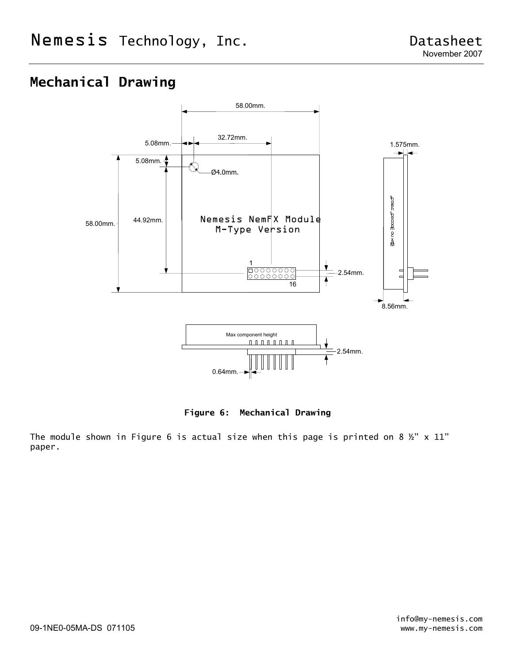# **Mechanical Drawing**



**Figure 6: Mechanical Drawing** 

The module shown in Figure 6 is actual size when this page is printed on 8  $\frac{1}{2}$  x 11" paper.